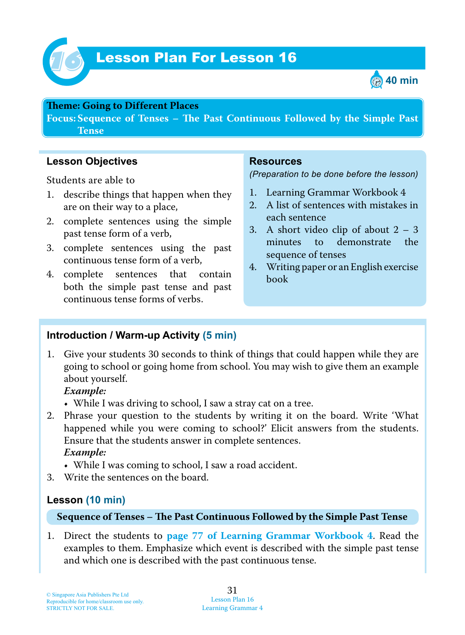

# Lesson Plan For Lesson 16 *16*



#### **Teme : Going to Different Places**

**Focus: Sequence of Tenses – Te Past Continuous Followed by the Simple Past Tense**

## **Lesson Objectives**

Students are able to

- 1. describe things that happen when they are on their way to a place,
- 2. complete sentences using the simple past tense form of a verb,
- 3. complete sentences using the past continuous tense form of a verb,
- 4. complete sentences that contain both the simple past tense and past continuous tense forms of verbs.

#### **Resources**

*(Preparation to be done before the lesson)*

- 1. Learning Grammar Workbook 4
- 2. A list of sentences with mistakes in each sentence
- 3. A short video clip of about  $2 3$ minutes to demonstrate the sequence of tenses
- 4. Writing paper or an English exercise book

## **Introduction / Warm-up Activity (5 min)**

1. Give your students 30 seconds to think of things that could happen while they are going to school or going home from school. You may wish to give them an example about yourself.

#### *Example:*

- While I was driving to school, I saw a stray cat on a tree.
- 2. Phrase your question to the students by writing it on the board. Write 'What happened while you were coming to school?' Elicit answers from the students. Ensure that the students answer in complete sentences.  *Example:*
	- While I was coming to school, I saw a road accident.
- 3. Write the sentences on the board.

## **Lesson (10 min)**

#### **Sequence of Tenses – Te Past Continuous Followed by the Simple Past Tense**

1. Direct the students to **page 77 of Learning Grammar Workbook 4**. Read the examples to them. Emphasize which event is described with the simple past tense and which one is described with the past continuous tense.